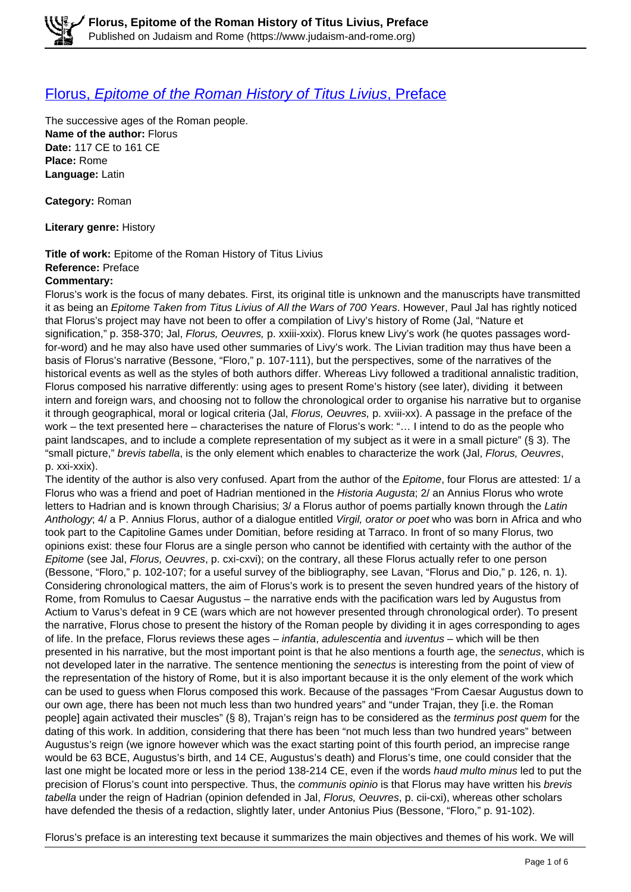## [Florus,](https://www.judaism-and-rome.org/florus-epitome-roman-history-titus-livius-preface) [Epitome of the Roman History of Titus Livius](https://www.judaism-and-rome.org/florus-epitome-roman-history-titus-livius-preface)[, Preface](https://www.judaism-and-rome.org/florus-epitome-roman-history-titus-livius-preface)

The successive ages of the Roman people. **Name of the author:** Florus **Date:** 117 CE to 161 CE **Place:** Rome **Language:** Latin

**Category:** Roman

**Literary genre:** History

**Title of work:** Epitome of the Roman History of Titus Livius **Reference:** Preface **Commentary:** 

Florus's work is the focus of many debates. First, its original title is unknown and the manuscripts have transmitted it as being an Epitome Taken from Titus Livius of All the Wars of 700 Years. However, Paul Jal has rightly noticed that Florus's project may have not been to offer a compilation of Livy's history of Rome (Jal, "Nature et signification," p. 358-370; Jal, Florus, Oeuvres, p. xxiii-xxix). Florus knew Livy's work (he quotes passages wordfor-word) and he may also have used other summaries of Livy's work. The Livian tradition may thus have been a basis of Florus's narrative (Bessone, "Floro," p. 107-111), but the perspectives, some of the narratives of the historical events as well as the styles of both authors differ. Whereas Livy followed a traditional annalistic tradition, Florus composed his narrative differently: using ages to present Rome's history (see later), dividing it between intern and foreign wars, and choosing not to follow the chronological order to organise his narrative but to organise it through geographical, moral or logical criteria (Jal, Florus, Oeuvres, p. xviii-xx). A passage in the preface of the work – the text presented here – characterises the nature of Florus's work: "… I intend to do as the people who paint landscapes, and to include a complete representation of my subject as it were in a small picture" (§ 3). The "small picture," brevis tabella, is the only element which enables to characterize the work (Jal, Florus, Oeuvres, p. xxi-xxix).

The identity of the author is also very confused. Apart from the author of the Epitome, four Florus are attested: 1/ a Florus who was a friend and poet of Hadrian mentioned in the Historia Augusta; 2/ an Annius Florus who wrote letters to Hadrian and is known through Charisius; 3/ a Florus author of poems partially known through the Latin Anthology; 4/ a P. Annius Florus, author of a dialogue entitled Virgil, orator or poet who was born in Africa and who took part to the Capitoline Games under Domitian, before residing at Tarraco. In front of so many Florus, two opinions exist: these four Florus are a single person who cannot be identified with certainty with the author of the Epitome (see Jal, Florus, Oeuvres, p. cxi-cxvi); on the contrary, all these Florus actually refer to one person (Bessone, "Floro," p. 102-107; for a useful survey of the bibliography, see Lavan, "Florus and Dio," p. 126, n. 1). Considering chronological matters, the aim of Florus's work is to present the seven hundred years of the history of Rome, from Romulus to Caesar Augustus – the narrative ends with the pacification wars led by Augustus from Actium to Varus's defeat in 9 CE (wars which are not however presented through chronological order). To present the narrative, Florus chose to present the history of the Roman people by dividing it in ages corresponding to ages of life. In the preface, Florus reviews these ages – infantia, adulescentia and iuventus – which will be then presented in his narrative, but the most important point is that he also mentions a fourth age, the senectus, which is not developed later in the narrative. The sentence mentioning the senectus is interesting from the point of view of the representation of the history of Rome, but it is also important because it is the only element of the work which can be used to guess when Florus composed this work. Because of the passages "From Caesar Augustus down to our own age, there has been not much less than two hundred years" and "under Trajan, they [i.e. the Roman people] again activated their muscles" (§ 8), Trajan's reign has to be considered as the terminus post quem for the dating of this work. In addition, considering that there has been "not much less than two hundred years" between Augustus's reign (we ignore however which was the exact starting point of this fourth period, an imprecise range would be 63 BCE, Augustus's birth, and 14 CE, Augustus's death) and Florus's time, one could consider that the last one might be located more or less in the period 138-214 CE, even if the words haud multo minus led to put the precision of Florus's count into perspective. Thus, the *communis opinio* is that Florus may have written his *brevis* tabella under the reign of Hadrian (opinion defended in Jal, Florus, Oeuvres, p. cii-cxi), whereas other scholars have defended the thesis of a redaction, slightly later, under Antonius Pius (Bessone, "Floro," p. 91-102).

Florus's preface is an interesting text because it summarizes the main objectives and themes of his work. We will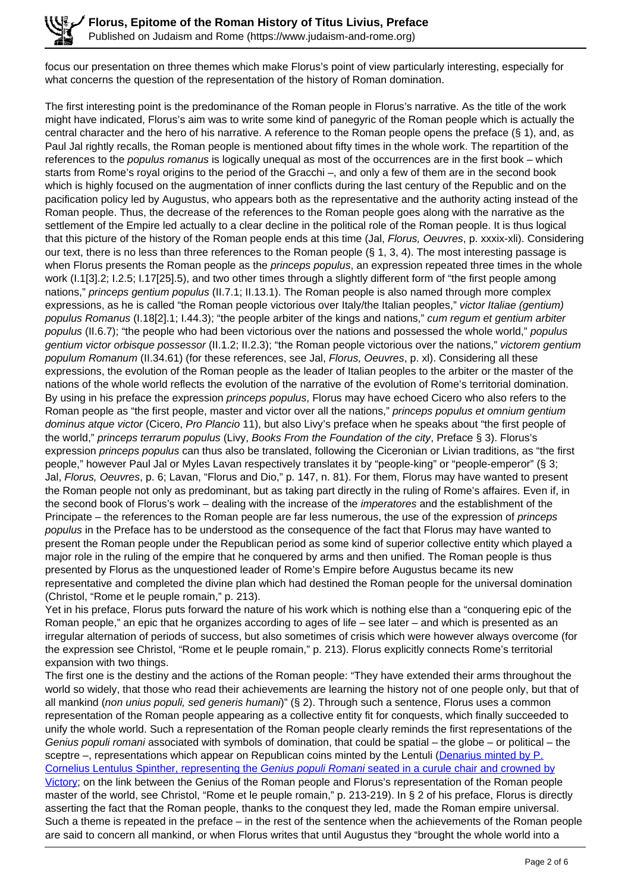focus our presentation on three themes which make Florus's point of view particularly interesting, especially for what concerns the question of the representation of the history of Roman domination.

The first interesting point is the predominance of the Roman people in Florus's narrative. As the title of the work might have indicated, Florus's aim was to write some kind of panegyric of the Roman people which is actually the central character and the hero of his narrative. A reference to the Roman people opens the preface (§ 1), and, as Paul Jal rightly recalls, the Roman people is mentioned about fifty times in the whole work. The repartition of the references to the *populus romanus* is logically unequal as most of the occurrences are in the first book – which starts from Rome's royal origins to the period of the Gracchi –, and only a few of them are in the second book which is highly focused on the augmentation of inner conflicts during the last century of the Republic and on the pacification policy led by Augustus, who appears both as the representative and the authority acting instead of the Roman people. Thus, the decrease of the references to the Roman people goes along with the narrative as the settlement of the Empire led actually to a clear decline in the political role of the Roman people. It is thus logical that this picture of the history of the Roman people ends at this time (Jal, Florus, Oeuvres, p. xxxix-xli). Considering our text, there is no less than three references to the Roman people (§ 1, 3, 4). The most interesting passage is when Florus presents the Roman people as the *princeps populus*, an expression repeated three times in the whole work (I.1[3].2; I.2.5; I.17[25].5), and two other times through a slightly different form of "the first people among nations," princeps gentium populus (II.7.1; II.13.1). The Roman people is also named through more complex expressions, as he is called "the Roman people victorious over Italy/the Italian peoples," victor Italiae (gentium) populus Romanus (I.18[2].1; I.44.3); "the people arbiter of the kings and nations," cum regum et gentium arbiter populus (II.6.7); "the people who had been victorious over the nations and possessed the whole world," populus gentium victor orbisque possessor (II.1.2; II.2.3); "the Roman people victorious over the nations," victorem gentium populum Romanum (II.34.61) (for these references, see Jal, Florus, Oeuvres, p. xl). Considering all these expressions, the evolution of the Roman people as the leader of Italian peoples to the arbiter or the master of the nations of the whole world reflects the evolution of the narrative of the evolution of Rome's territorial domination. By using in his preface the expression *princeps populus*, Florus may have echoed Cicero who also refers to the Roman people as "the first people, master and victor over all the nations," princeps populus et omnium gentium dominus atque victor (Cicero, Pro Plancio 11), but also Livy's preface when he speaks about "the first people of the world," princeps terrarum populus (Livy, Books From the Foundation of the city, Preface § 3). Florus's expression *princeps populus* can thus also be translated, following the Ciceronian or Livian traditions, as "the first people," however Paul Jal or Myles Lavan respectively translates it by "people-king" or "people-emperor" (§ 3; Jal, Florus, Oeuvres, p. 6; Lavan, "Florus and Dio," p. 147, n. 81). For them, Florus may have wanted to present the Roman people not only as predominant, but as taking part directly in the ruling of Rome's affaires. Even if, in the second book of Florus's work – dealing with the increase of the imperatores and the establishment of the Principate – the references to the Roman people are far less numerous, the use of the expression of *princeps* populus in the Preface has to be understood as the consequence of the fact that Florus may have wanted to present the Roman people under the Republican period as some kind of superior collective entity which played a major role in the ruling of the empire that he conquered by arms and then unified. The Roman people is thus presented by Florus as the unquestioned leader of Rome's Empire before Augustus became its new representative and completed the divine plan which had destined the Roman people for the universal domination (Christol, "Rome et le peuple romain," p. 213).

Yet in his preface, Florus puts forward the nature of his work which is nothing else than a "conquering epic of the Roman people," an epic that he organizes according to ages of life – see later – and which is presented as an irregular alternation of periods of success, but also sometimes of crisis which were however always overcome (for the expression see Christol, "Rome et le peuple romain," p. 213). Florus explicitly connects Rome's territorial expansion with two things.

The first one is the destiny and the actions of the Roman people: "They have extended their arms throughout the world so widely, that those who read their achievements are learning the history not of one people only, but that of all mankind (non unius populi, sed generis humani)" (§ 2). Through such a sentence, Florus uses a common representation of the Roman people appearing as a collective entity fit for conquests, which finally succeeded to unify the whole world. Such a representation of the Roman people clearly reminds the first representations of the Genius populi romani associated with symbols of domination, that could be spatial – the globe – or political – the sceptre –, representations which appear on Republican coins minted by the Lentuli (Denarius minted by P. Cornelius Lentulus Spinther, representing the Genius populi Romani seated in a curule chair and crowned by Victory; on the link between the Genius of the Roman people and Florus's representation of the Roman people master of the world, see Christol, "Rome et le peuple romain," p. 213-219). In § 2 of his preface, Florus is directly asserting the fact that the Roman people, thanks to the conquest they led, made the Roman empire universal. Such a theme is repeated in the preface – in the rest of the sentence when the achievements of the Roman people are said to concern all mankind, or when Florus writes that until Augustus they "brought the whole world into a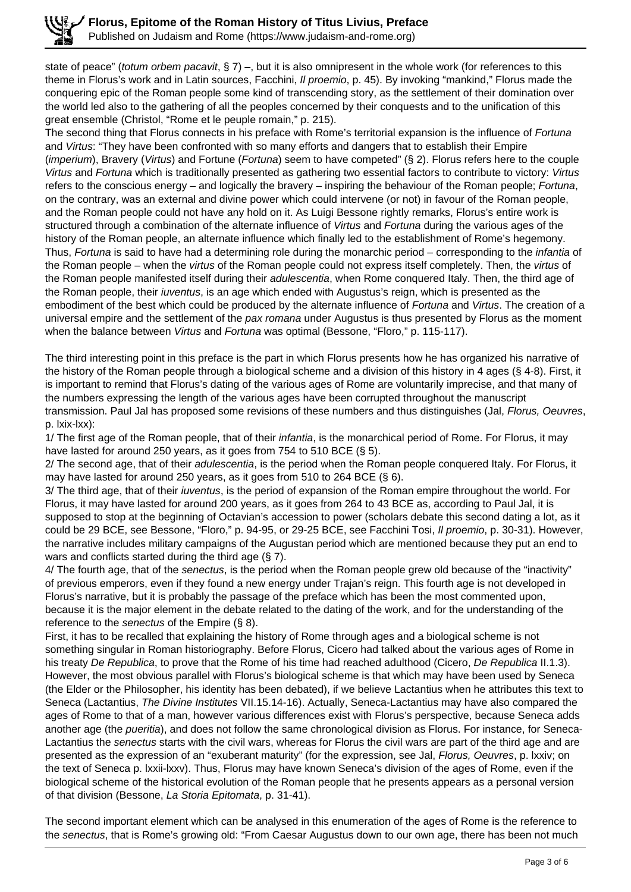state of peace" (totum orbem pacavit, § 7) –, but it is also omnipresent in the whole work (for references to this theme in Florus's work and in Latin sources, Facchini, *Il proemio*, p. 45). By invoking "mankind," Florus made the conquering epic of the Roman people some kind of transcending story, as the settlement of their domination over the world led also to the gathering of all the peoples concerned by their conquests and to the unification of this great ensemble (Christol, "Rome et le peuple romain," p. 215).

The second thing that Florus connects in his preface with Rome's territorial expansion is the influence of Fortuna and Virtus: "They have been confronted with so many efforts and dangers that to establish their Empire (imperium), Bravery (Virtus) and Fortune (Fortuna) seem to have competed" (§ 2). Florus refers here to the couple Virtus and Fortuna which is traditionally presented as gathering two essential factors to contribute to victory: Virtus refers to the conscious energy – and logically the bravery – inspiring the behaviour of the Roman people; Fortuna, on the contrary, was an external and divine power which could intervene (or not) in favour of the Roman people, and the Roman people could not have any hold on it. As Luigi Bessone rightly remarks, Florus's entire work is structured through a combination of the alternate influence of Virtus and Fortuna during the various ages of the history of the Roman people, an alternate influence which finally led to the establishment of Rome's hegemony. Thus, Fortuna is said to have had a determining role during the monarchic period – corresponding to the *infantia* of the Roman people – when the virtus of the Roman people could not express itself completely. Then, the virtus of the Roman people manifested itself during their *adulescentia*, when Rome conquered Italy. Then, the third age of the Roman people, their *iuventus*, is an age which ended with Augustus's reign, which is presented as the embodiment of the best which could be produced by the alternate influence of Fortuna and Virtus. The creation of a universal empire and the settlement of the pax romana under Augustus is thus presented by Florus as the moment when the balance between Virtus and Fortuna was optimal (Bessone, "Floro," p. 115-117).

The third interesting point in this preface is the part in which Florus presents how he has organized his narrative of the history of the Roman people through a biological scheme and a division of this history in 4 ages (§ 4-8). First, it is important to remind that Florus's dating of the various ages of Rome are voluntarily imprecise, and that many of the numbers expressing the length of the various ages have been corrupted throughout the manuscript transmission. Paul Jal has proposed some revisions of these numbers and thus distinguishes (Jal, Florus, Oeuvres, p. lxix-lxx):

1/ The first age of the Roman people, that of their infantia, is the monarchical period of Rome. For Florus, it may have lasted for around 250 years, as it goes from 754 to 510 BCE (§ 5).

2/ The second age, that of their *adulescentia*, is the period when the Roman people conquered Italy. For Florus, it may have lasted for around 250 years, as it goes from 510 to 264 BCE (§ 6).

3/ The third age, that of their iuventus, is the period of expansion of the Roman empire throughout the world. For Florus, it may have lasted for around 200 years, as it goes from 264 to 43 BCE as, according to Paul Jal, it is supposed to stop at the beginning of Octavian's accession to power (scholars debate this second dating a lot, as it could be 29 BCE, see Bessone, "Floro," p. 94-95, or 29-25 BCE, see Facchini Tosi, Il proemio, p. 30-31). However, the narrative includes military campaigns of the Augustan period which are mentioned because they put an end to wars and conflicts started during the third age (§ 7).

4/ The fourth age, that of the senectus, is the period when the Roman people grew old because of the "inactivity" of previous emperors, even if they found a new energy under Trajan's reign. This fourth age is not developed in Florus's narrative, but it is probably the passage of the preface which has been the most commented upon, because it is the major element in the debate related to the dating of the work, and for the understanding of the reference to the senectus of the Empire (§ 8).

First, it has to be recalled that explaining the history of Rome through ages and a biological scheme is not something singular in Roman historiography. Before Florus, Cicero had talked about the various ages of Rome in his treaty De Republica, to prove that the Rome of his time had reached adulthood (Cicero, De Republica II.1.3). However, the most obvious parallel with Florus's biological scheme is that which may have been used by Seneca (the Elder or the Philosopher, his identity has been debated), if we believe Lactantius when he attributes this text to Seneca (Lactantius, The Divine Institutes VII.15.14-16). Actually, Seneca-Lactantius may have also compared the ages of Rome to that of a man, however various differences exist with Florus's perspective, because Seneca adds another age (the *pueritia*), and does not follow the same chronological division as Florus. For instance, for Seneca-Lactantius the senectus starts with the civil wars, whereas for Florus the civil wars are part of the third age and are presented as the expression of an "exuberant maturity" (for the expression, see Jal, Florus, Oeuvres, p. lxxiv; on the text of Seneca p. lxxii-lxxv). Thus, Florus may have known Seneca's division of the ages of Rome, even if the biological scheme of the historical evolution of the Roman people that he presents appears as a personal version of that division (Bessone, La Storia Epitomata, p. 31-41).

The second important element which can be analysed in this enumeration of the ages of Rome is the reference to the senectus, that is Rome's growing old: "From Caesar Augustus down to our own age, there has been not much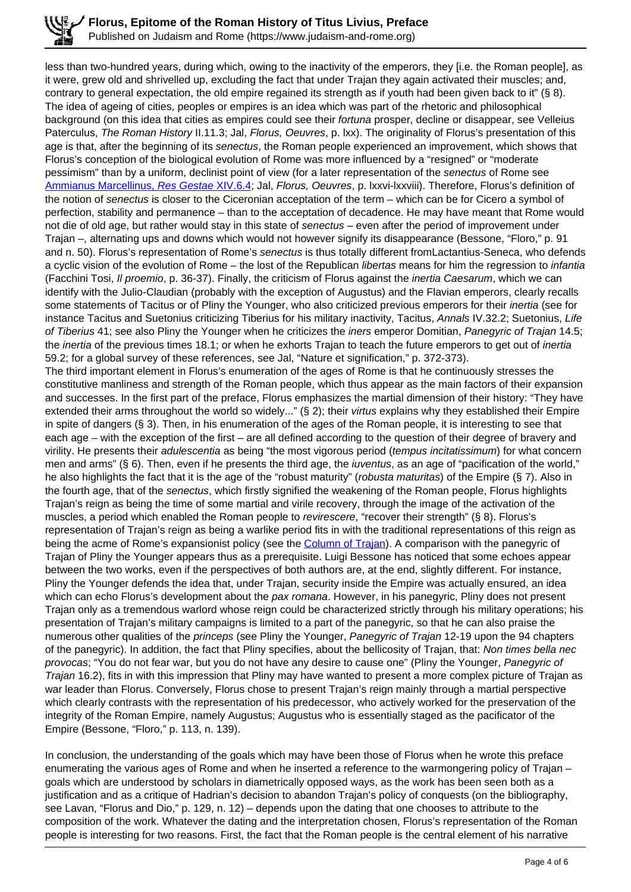less than two-hundred years, during which, owing to the inactivity of the emperors, they [i.e. the Roman people], as it were, grew old and shrivelled up, excluding the fact that under Trajan they again activated their muscles; and, contrary to general expectation, the old empire regained its strength as if youth had been given back to it" (§ 8). The idea of ageing of cities, peoples or empires is an idea which was part of the rhetoric and philosophical background (on this idea that cities as empires could see their fortuna prosper, decline or disappear, see Velleius Paterculus, The Roman History II.11.3; Jal, Florus, Oeuvres, p. lxx). The originality of Florus's presentation of this age is that, after the beginning of its senectus, the Roman people experienced an improvement, which shows that Florus's conception of the biological evolution of Rome was more influenced by a "resigned" or "moderate pessimism" than by a uniform, declinist point of view (for a later representation of the senectus of Rome see Ammianus Marcellinus, Res Gestae XIV.6.4; Jal, Florus, Oeuvres, p. Ixxvi-Ixxviii). Therefore, Florus's definition of the notion of senectus is closer to the Ciceronian acceptation of the term – which can be for Cicero a symbol of perfection, stability and permanence – than to the acceptation of decadence. He may have meant that Rome would not die of old age, but rather would stay in this state of senectus – even after the period of improvement under Trajan –, alternating ups and downs which would not however signify its disappearance (Bessone, "Floro," p. 91 and n. 50). Florus's representation of Rome's senectus is thus totally different fromLactantius-Seneca, who defends a cyclic vision of the evolution of Rome – the lost of the Republican libertas means for him the regression to infantia (Facchini Tosi, Il proemio, p. 36-37). Finally, the criticism of Florus against the inertia Caesarum, which we can identify with the Julio-Claudian (probably with the exception of Augustus) and the Flavian emperors, clearly recalls some statements of Tacitus or of Pliny the Younger, who also criticized previous emperors for their *inertia* (see for instance Tacitus and Suetonius criticizing Tiberius for his military inactivity, Tacitus, Annals IV.32.2; Suetonius, Life of Tiberius 41; see also Pliny the Younger when he criticizes the iners emperor Domitian, Panegyric of Trajan 14.5; the *inertia* of the previous times 18.1; or when he exhorts Traian to teach the future emperors to get out of *inertia* 59.2; for a global survey of these references, see Jal, "Nature et signification," p. 372-373). The third important element in Florus's enumeration of the ages of Rome is that he continuously stresses the constitutive manliness and strength of the Roman people, which thus appear as the main factors of their expansion and successes. In the first part of the preface, Florus emphasizes the martial dimension of their history: "They have extended their arms throughout the world so widely..." (§ 2); their virtus explains why they established their Empire in spite of dangers (§ 3). Then, in his enumeration of the ages of the Roman people, it is interesting to see that each age – with the exception of the first – are all defined according to the question of their degree of bravery and virility. He presents their *adulescentia* as being "the most vigorous period (tempus incitatissimum) for what concern men and arms" (§ 6). Then, even if he presents the third age, the *iuventus*, as an age of "pacification of the world," he also highlights the fact that it is the age of the "robust maturity" (robusta maturitas) of the Empire (§7). Also in the fourth age, that of the senectus, which firstly signified the weakening of the Roman people, Florus highlights Trajan's reign as being the time of some martial and virile recovery, through the image of the activation of the muscles, a period which enabled the Roman people to revirescere, "recover their strength" (§ 8). Florus's representation of Trajan's reign as being a warlike period fits in with the traditional representations of this reign as being the acme of Rome's expansionist policy (see the Column of Trajan). A comparison with the panegyric of Trajan of Pliny the Younger appears thus as a prerequisite. Luigi Bessone has noticed that some echoes appear between the two works, even if the perspectives of both authors are, at the end, slightly different. For instance, Pliny the Younger defends the idea that, under Trajan, security inside the Empire was actually ensured, an idea which can echo Florus's development about the pax romana. However, in his panegyric, Pliny does not present Trajan only as a tremendous warlord whose reign could be characterized strictly through his military operations; his presentation of Trajan's military campaigns is limited to a part of the panegyric, so that he can also praise the numerous other qualities of the *princeps* (see Pliny the Younger, Panegyric of Trajan 12-19 upon the 94 chapters of the panegyric). In addition, the fact that Pliny specifies, about the bellicosity of Trajan, that: Non times bella nec provocas; "You do not fear war, but you do not have any desire to cause one" (Pliny the Younger, Panegyric of Trajan 16.2), fits in with this impression that Pliny may have wanted to present a more complex picture of Trajan as war leader than Florus. Conversely, Florus chose to present Trajan's reign mainly through a martial perspective which clearly contrasts with the representation of his predecessor, who actively worked for the preservation of the integrity of the Roman Empire, namely Augustus; Augustus who is essentially staged as the pacificator of the Empire (Bessone, "Floro," p. 113, n. 139).

In conclusion, the understanding of the goals which may have been those of Florus when he wrote this preface enumerating the various ages of Rome and when he inserted a reference to the warmongering policy of Trajan – goals which are understood by scholars in diametrically opposed ways, as the work has been seen both as a justification and as a critique of Hadrian's decision to abandon Trajan's policy of conquests (on the bibliography, see Lavan, "Florus and Dio," p. 129, n. 12) – depends upon the dating that one chooses to attribute to the composition of the work. Whatever the dating and the interpretation chosen, Florus's representation of the Roman people is interesting for two reasons. First, the fact that the Roman people is the central element of his narrative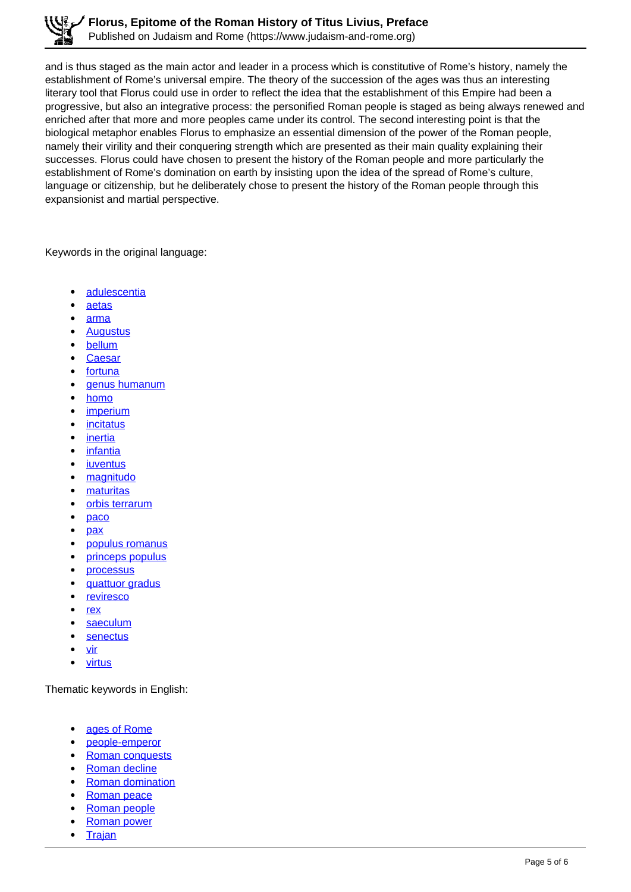and is thus staged as the main actor and leader in a process which is constitutive of Rome's history, namely the establishment of Rome's universal empire. The theory of the succession of the ages was thus an interesting literary tool that Florus could use in order to reflect the idea that the establishment of this Empire had been a progressive, but also an integrative process: the personified Roman people is staged as being always renewed and enriched after that more and more peoples came under its control. The second interesting point is that the biological metaphor enables Florus to emphasize an essential dimension of the power of the Roman people, namely their virility and their conquering strength which are presented as their main quality explaining their successes. Florus could have chosen to present the history of the Roman people and more particularly the establishment of Rome's domination on earth by insisting upon the idea of the spread of Rome's culture, language or citizenship, but he deliberately chose to present the history of the Roman people through this expansionist and martial perspective.

Keywords in the original language:

- adulescentia
- aetas
- arma
- **Augustus**
- bellum
- **Caesar**
- fortuna
- genus humanum
- homo
- imperium
- incitatus
- inertia
- infantia
- iuventus
- magnitudo
- maturitas
- orbis terrarum
- paco
- pax
- populus romanus
- princeps populus
- processus
- quattuor gradus
- **reviresco**
- rex
- saeculum
- senectus
- vir
- virtus

Thematic keywords in English:

- ages of Rome
- people-emperor
- Roman conquests
- Roman decline
- Roman domination
- Roman peace
- Roman people
- Roman power  $\bullet$
- $\bullet$ **Trajan**